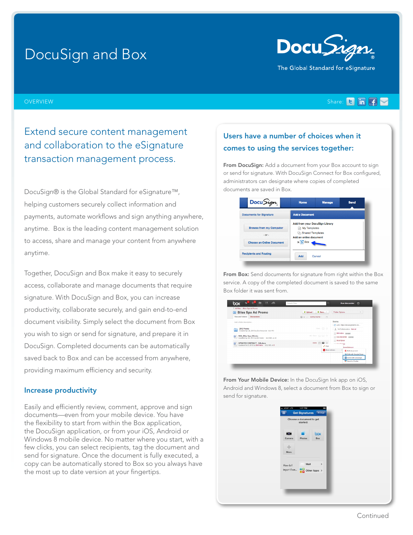# DocuSign and Box



#### OVERVIEW Share:

Extend secure content management and collaboration to the eSignature transaction management process.

DocuSign® is the Global Standard for eSignature™, helping customers securely collect information and payments, automate workflows and sign anything anywhere, anytime. Box is the leading content management solution to access, share and manage your content from anywhere anytime.

Together, DocuSign and Box make it easy to securely access, collaborate and manage documents that require signature. With DocuSign and Box, you can increase productivity, collaborate securely, and gain end-to-end document visibility. Simply select the document from Box you wish to sign or send for signature, and prepare it in DocuSign. Completed documents can be automatically saved back to Box and can be accessed from anywhere, providing maximum efficiency and security.

#### Increase productivity

Easily and efficiently review, comment, approve and sign documents—even from your mobile device. You have the flexibility to start from within the Box application, the DocuSign application, or from your iOS, Android or Windows 8 mobile device. No matter where you start, with a few clicks, you can select recipients, tag the document and send for signature. Once the document is fully executed, a copy can be automatically stored to Box so you always have the most up to date version at your fingertips.

# Users have a number of choices when it comes to using the services together:

From DocuSign: Add a document from your Box account to sign or send for signature. With DocuSign Connect for Box configured, administrators can designate where copies of completed documents are saved in Box.

| Docu Sign                                    | <b>Home</b>                                                                                                   | <b>Manage</b> | <b>Send</b> |
|----------------------------------------------|---------------------------------------------------------------------------------------------------------------|---------------|-------------|
| <b>Documents for Signature</b>               | <b>Add a Document</b>                                                                                         |               |             |
| <b>Browse from my Computer</b><br>$-$ Or $-$ | <b>Add from your DocuSign Library</b><br>My Templates<br><b>Ch</b> Shared Templates<br>Add an online document |               |             |
| <b>Choose an Online Document</b>             | $\triangleright$ <b>b</b> Box                                                                                 |               |             |
| <b>Recipients and Routing</b>                | Add                                                                                                           | Cancel        |             |

From Box: Send documents for signature from right within the Box service. A copy of the completed document is saved to the same Box folder it was sent from.



From Your Mobile Device: In the DocuSign Ink app on iOS, Android and Windows 8, select a document from Box to sign or send for signature.

| at AT&T LTE<br>Ξ        | 1:57 PM<br><b>Get Signatures</b>     | Arrange    |  |  |
|-------------------------|--------------------------------------|------------|--|--|
|                         | Choose a document to get<br>started: |            |  |  |
| $-8$<br>Camera          | ┓<br><b>Photos</b>                   | box<br>Box |  |  |
| ÷<br>More               |                                      |            |  |  |
| How do I<br>import from | Mail<br><b>Other Apps</b> >          | $\,$       |  |  |
|                         |                                      |            |  |  |